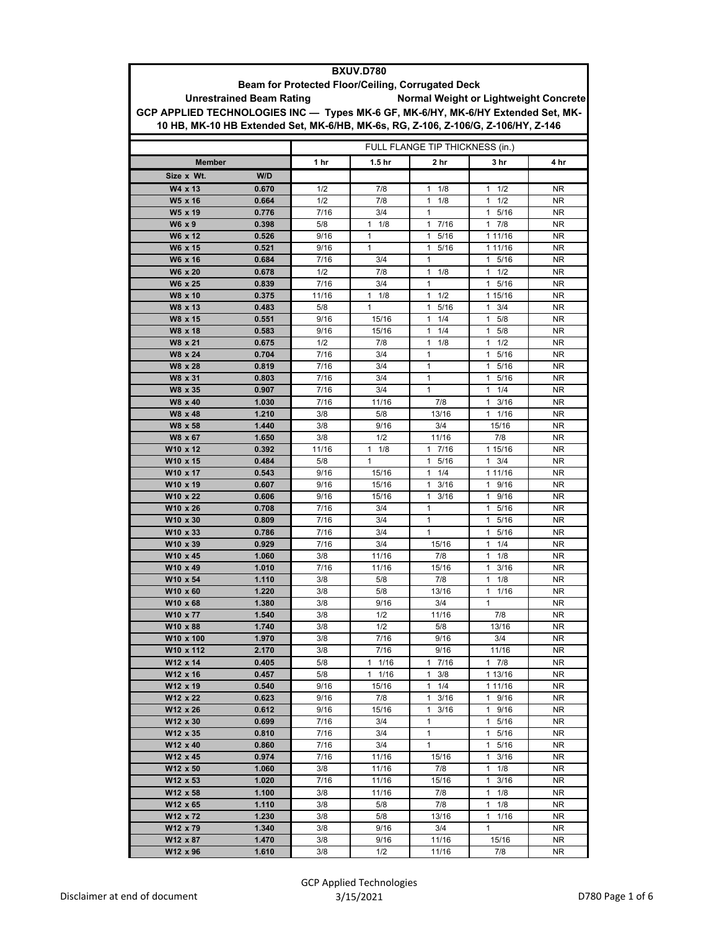| <b>BXUV.D780</b>                                                                  |                |            |                     |                                       |                      |                 |  |
|-----------------------------------------------------------------------------------|----------------|------------|---------------------|---------------------------------------|----------------------|-----------------|--|
| Beam for Protected Floor/Ceiling, Corrugated Deck                                 |                |            |                     |                                       |                      |                 |  |
| <b>Unrestrained Beam Rating</b>                                                   |                |            |                     | Normal Weight or Lightweight Concrete |                      |                 |  |
| GCP APPLIED TECHNOLOGIES INC - Types MK-6 GF, MK-6/HY, MK-6/HY Extended Set, MK-  |                |            |                     |                                       |                      |                 |  |
| 10 HB, MK-10 HB Extended Set, MK-6/HB, MK-6s, RG, Z-106, Z-106/G, Z-106/HY, Z-146 |                |            |                     |                                       |                      |                 |  |
|                                                                                   |                |            |                     |                                       |                      |                 |  |
| FULL FLANGE TIP THICKNESS (in.)                                                   |                |            |                     |                                       |                      |                 |  |
| <b>Member</b>                                                                     |                | 1 hr       | 1.5 <sub>hr</sub>   | 2 hr                                  | 3 <sub>hr</sub>      | 4 hr            |  |
| Size x Wt.                                                                        | W/D            |            |                     |                                       |                      |                 |  |
| W4 x 13                                                                           | 0.670          | 1/2        | 7/8                 | 1/8<br>$\mathbf{1}$                   | 1/2<br>$\mathbf{1}$  | NR              |  |
| W5 x 16                                                                           | 0.664          | 1/2        | 7/8                 | 1/8<br>1                              | 1/2<br>1             | <b>NR</b>       |  |
| W <sub>5</sub> x 19                                                               | 0.776          | 7/16       | 3/4                 | $\mathbf{1}$                          | $\mathbf{1}$<br>5/16 | <b>NR</b>       |  |
| W6 x 9                                                                            | 0.398          | 5/8        | $\mathbf{1}$<br>1/8 | 7/16<br>1                             | 7/8<br>$\mathbf{1}$  | NR              |  |
| W6 x 12                                                                           | 0.526          | 9/16       | 1                   | 1 5/16                                | 1 11/16              | NR              |  |
| W6 x 15                                                                           | 0.521          | 9/16       | $\mathbf{1}$        | 1<br>5/16                             | 1 11/16              | <b>NR</b>       |  |
| W6 x 16                                                                           | 0.684          | 7/16       | 3/4                 | $\mathbf{1}$                          | $\mathbf{1}$<br>5/16 | <b>NR</b>       |  |
| W6 x 20                                                                           | 0.678          | 1/2        | 7/8                 | $\mathbf{1}$<br>1/8                   | $\mathbf{1}$<br>1/2  | <b>NR</b>       |  |
| W6 x 25                                                                           | 0.839          | 7/16       | 3/4                 | 1                                     | $\mathbf{1}$<br>5/16 | NR              |  |
| W8 x 10                                                                           | 0.375          | 11/16      | $\mathbf{1}$<br>1/8 | $\mathbf{1}$<br>1/2                   | 1 15/16              | NR.             |  |
| W8 x 13                                                                           | 0.483          | 5/8        | 1                   | 5/16<br>$\mathbf{1}$                  | 3/4<br>$\mathbf{1}$  | <b>NR</b>       |  |
| W8 x 15                                                                           | 0.551          | 9/16       | 15/16               | 1/4<br>1                              | 5/8<br>$\mathbf{1}$  | NR              |  |
| W8 x 18                                                                           | 0.583          | 9/16       | 15/16               | 1/4<br>1                              | 5/8<br>$\mathbf{1}$  | <b>NR</b>       |  |
| W8 x 21                                                                           | 0.675          | 1/2        | 7/8                 | $\mathbf{1}$<br>1/8                   | $\mathbf{1}$<br>1/2  | <b>NR</b>       |  |
| W8 x 24                                                                           | 0.704          | 7/16       | 3/4                 | 1                                     | 5/16<br>$\mathbf{1}$ | NR              |  |
| W8 x 28                                                                           | 0.819          | 7/16       | 3/4                 | 1                                     | 5/16<br>$\mathbf{1}$ | NR              |  |
| W8 x 31                                                                           | 0.803          | 7/16       | 3/4                 | $\mathbf{1}$                          | $\mathbf{1}$<br>5/16 | ΝR              |  |
| W8 x 35                                                                           | 0.907          | 7/16       | 3/4                 | 1                                     | 1/4<br>$\mathbf{1}$  | NR              |  |
| W8 x 40                                                                           | 1.030          | 7/16       | 11/16               | 7/8                                   | $\mathbf{1}$<br>3/16 | <b>NR</b>       |  |
| W8 x 48                                                                           | 1.210          | 3/8        | 5/8                 | 13/16                                 | 1/16<br>$\mathbf{1}$ | <b>NR</b>       |  |
| W8 x 58                                                                           | 1.440          | 3/8<br>3/8 | 9/16<br>1/2         | 3/4                                   | 15/16<br>7/8         | NR.             |  |
| W8 x 67<br>W10 x 12                                                               | 1.650<br>0.392 | 11/16      | 1<br>1/8            | 11/16<br>17/16                        | 1 15/16              | <b>NR</b><br>NR |  |
| W10 x 15                                                                          | 0.484          | 5/8        | 1                   | 5/16<br>$\mathbf{1}$                  | 1<br>3/4             | ΝR              |  |
| W10 x 17                                                                          | 0.543          | 9/16       | 15/16               | 1/4<br>$\mathbf{1}$                   | 1 11/16              | <b>NR</b>       |  |
| W10 x 19                                                                          | 0.607          | 9/16       | 15/16               | 3/16<br>$\mathbf{1}$                  | 1 9/16               | NR              |  |
| W10 x 22                                                                          | 0.606          | 9/16       | 15/16               | 3/16<br>1                             | 9/16<br>$\mathbf{1}$ | NR              |  |
| W10 x 26                                                                          | 0.708          | 7/16       | 3/4                 | $\mathbf{1}$                          | $\mathbf{1}$<br>5/16 | <b>NR</b>       |  |
| W10 x 30                                                                          | 0.809          | 7/16       | 3/4                 | 1                                     | 5/16<br>$\mathbf{1}$ | NR              |  |
| W10 x 33                                                                          | 0.786          | 7/16       | 3/4                 | 1                                     | 5/16<br>$\mathbf{1}$ | NR              |  |
| W10 x 39                                                                          | 0.929          | 7/16       | 3/4                 | 15/16                                 | 1/4<br>$\mathbf{1}$  | ΝR              |  |
| W10 x 45                                                                          | 1.060          | 3/8        | 11/16               | 7/8                                   | 1/8<br>$\mathbf{1}$  | <b>NR</b>       |  |
| W10 x 49                                                                          | 1.010          | 7/16       | 11/16               | 15/16                                 | $\mathbf{1}$<br>3/16 | NR              |  |
| W10 x 54                                                                          | 1.110          | 3/8        | 5/8                 | 7/8                                   | $\mathbf{1}$<br>1/8  | <b>NR</b>       |  |
| W10 x 60                                                                          | 1.220          | 3/8        | 5/8                 | 13/16                                 | 11/16                | <b>NR</b>       |  |
| W10 x 68                                                                          | 1.380          | 3/8        | 9/16                | 3/4                                   | $\mathbf{1}$         | NR.             |  |
| W10 x 77                                                                          | 1.540          | 3/8        | 1/2                 | 11/16                                 | 7/8                  | NR              |  |
| W10 x 88<br>W10 x 100                                                             | 1.740<br>1.970 | 3/8<br>3/8 | 1/2<br>7/16         | 5/8<br>9/16                           | 13/16<br>3/4         | NR.<br>NR.      |  |
| W10 x 112                                                                         | 2.170          | 3/8        | 7/16                | 9/16                                  | 11/16                | NR.             |  |
| W12 x 14                                                                          | 0.405          | 5/8        | $1 \t1/16$          | 17/16                                 | $1 \t7/8$            | NR              |  |
| W12 x 16                                                                          | 0.457          | 5/8        | $1 \t1/16$          | $\mathbf{1}$<br>3/8                   | 1 13/16              | NR.             |  |
| W12 x 19                                                                          | 0.540          | 9/16       | 15/16               | $1 \t1/4$                             | 1 11/16              | NR.             |  |
| W12 x 22                                                                          | 0.623          | 9/16       | 7/8                 | $1 \t3/16$                            | 1 9/16               | NR              |  |
| W12 x 26                                                                          | 0.612          | 9/16       | 15/16               | 3/16<br>1.                            | 9/16<br>$\mathbf{1}$ | NR.             |  |
| W12 x 30                                                                          | 0.699          | 7/16       | 3/4                 | 1                                     | 1 5/16               | NR.             |  |
| W12 x 35                                                                          | 0.810          | 7/16       | 3/4                 | $\mathbf{1}$                          | 1 5/16               | NR.             |  |
| W12 x 40                                                                          | 0.860          | 7/16       | 3/4                 | $\mathbf{1}$                          | 1 5/16               | NR              |  |
| W12 x 45                                                                          | 0.974          | 7/16       | 11/16               | 15/16                                 | 3/16<br>$\mathbf{1}$ | NR              |  |
| W12 x 50                                                                          | 1.060          | 3/8        | 11/16               | 7/8                                   | $1 \t1/8$            | <b>NR</b>       |  |
| W12 x 53                                                                          | 1.020          | 7/16       | 11/16               | 15/16                                 | 3/16<br>$\mathbf{1}$ | NR.             |  |
| W12 x 58                                                                          | 1.100          | 3/8        | 11/16               | 7/8                                   | $\mathbf{1}$<br>1/8  | NR.             |  |
| W12 x 65                                                                          | 1.110          | 3/8        | 5/8                 | 7/8                                   | $\mathbf{1}$<br>1/8  | NR.             |  |
| W12 x 72                                                                          | 1.230          | 3/8        | 5/8                 | 13/16                                 | 1/16<br>$\mathbf{1}$ | NR              |  |
| W12 x 79                                                                          | 1.340          | 3/8        | 9/16                | 3/4                                   | $\mathbf{1}$         | NR              |  |
| W12 x 87                                                                          | 1.470          | 3/8        | 9/16                | 11/16                                 | 15/16                | NR.             |  |
| W12 x 96                                                                          | 1.610          | 3/8        | 1/2                 | 11/16                                 | 7/8                  | NR              |  |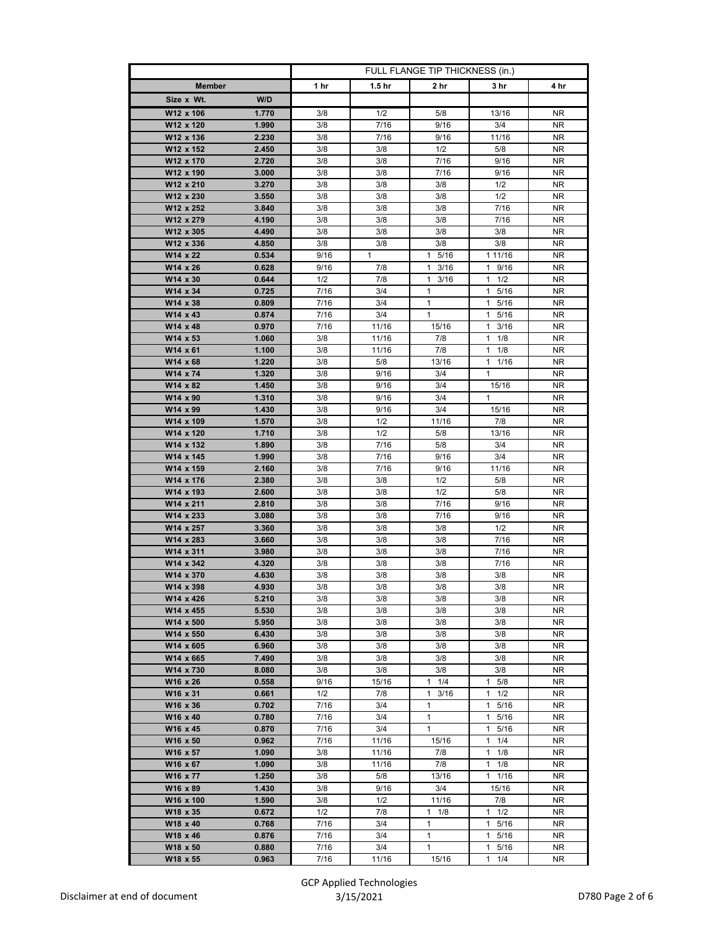|                                          | FULL FLANGE TIP THICKNESS (in.) |                     |                         |                                 |                  |
|------------------------------------------|---------------------------------|---------------------|-------------------------|---------------------------------|------------------|
| <b>Member</b>                            | 1 hr                            | 1.5 <sub>hr</sub>   | 2 hr                    | 3 hr                            | 4 hr             |
| Size x Wt.<br>W/D                        |                                 |                     |                         |                                 |                  |
| W12 x 106<br>1.770                       | 3/8                             | 1/2                 | 5/8                     | 13/16                           | NR.              |
| W12 x 120<br>1.990                       | 3/8                             | 7/16                | 9/16                    | 3/4                             | NR.              |
| W12 x 136<br>2.230                       | 3/8                             | 7/16                | 9/16                    | 11/16                           | NR.              |
| W12 x 152<br>2.450                       | 3/8                             | 3/8                 | 1/2                     | 5/8                             | NR.              |
| W12 x 170<br>2.720                       | 3/8                             | 3/8                 | 7/16                    | 9/16                            | NR.              |
| W12 x 190<br>3.000                       | 3/8                             | 3/8                 | 7/16                    | 9/16                            | NR               |
| W12 x 210<br>3.270                       | 3/8                             | 3/8                 | 3/8                     | 1/2                             | NR.              |
| W12 x 230<br>3.550                       | 3/8                             | 3/8                 | 3/8                     | 1/2                             | <b>NR</b>        |
| W12 x 252<br>3.840                       | 3/8                             | 3/8                 | 3/8                     | 7/16                            | NR.              |
| W12 x 279<br>4.190                       | 3/8                             | 3/8                 | 3/8                     | 7/16                            | NR.              |
| W12 x 305<br>4.490                       | 3/8                             | 3/8                 | 3/8                     | 3/8                             | NR.              |
| W12 x 336<br>4.850                       | 3/8                             | 3/8                 | 3/8                     | 3/8                             | NR.              |
| W14 x 22<br>0.534<br>W14 x 26<br>0.628   | 9/16<br>9/16                    | $\mathbf{1}$<br>7/8 | 5/16<br>1.<br>3/16<br>1 | 1 11/16<br>9/16<br>$\mathbf{1}$ | NR<br>NR.        |
| W14 x 30<br>0.644                        | 1/2                             | 7/8                 | $1 \t3/16$              | $1 \t1/2$                       | NR.              |
| W14 x 34<br>0.725                        | 7/16                            | 3/4                 | 1                       | 1 5/16                          | NR.              |
| W14 x 38<br>0.809                        | 7/16                            | 3/4                 | 1                       | $\mathbf{1}$<br>5/16            | NR.              |
| W14 x 43<br>0.874                        | 7/16                            | 3/4                 | $\mathbf{1}$            | 5/16<br>$\mathbf{1}$            | NR.              |
| W14 x 48<br>0.970                        | 7/16                            | 11/16               | 15/16                   | $1 \t3/16$                      | NR               |
| W14 x 53<br>1.060                        | 3/8                             | 11/16               | 7/8                     | 1/8<br>1                        | NR.              |
| W14 x 61<br>1.100                        | 3/8                             | 11/16               | 7/8                     | $\mathbf{1}$<br>1/8             | NR.              |
| W14 x 68<br>1.220                        | 3/8                             | 5/8                 | 13/16                   | $1 \t1/16$                      | NR.              |
| W14 x 74<br>1.320                        | 3/8                             | 9/16                | 3/4                     | $\mathbf{1}$                    | NR.              |
| W14 x 82<br>1.450                        | 3/8                             | 9/16                | 3/4                     | 15/16                           | NR.              |
| W14 x 90<br>1.310                        | 3/8                             | 9/16                | 3/4                     | 1                               | NR.              |
| W14 x 99<br>1.430                        | 3/8                             | 9/16                | 3/4                     | 15/16                           | NR.              |
| W14 x 109<br>1.570                       | 3/8                             | 1/2                 | 11/16                   | 7/8                             | <b>NR</b>        |
| 1.710<br>W14 x 120                       | 3/8                             | 1/2                 | 5/8                     | 13/16                           | NR.              |
| W14 x 132<br>1.890                       | 3/8                             | 7/16                | 5/8                     | 3/4                             | NR.              |
| W14 x 145<br>1.990                       | 3/8                             | 7/16                | 9/16                    | 3/4                             | NR.              |
| W14 x 159<br>2.160                       | 3/8                             | 7/16                | 9/16                    | 11/16                           | ΝR               |
| W14 x 176<br>2.380                       | 3/8                             | 3/8                 | 1/2                     | 5/8                             | NR.              |
| W14 x 193<br>2.600<br>W14 x 211<br>2.810 | 3/8<br>3/8                      | 3/8<br>3/8          | 1/2<br>7/16             | 5/8<br>9/16                     | <b>NR</b><br>NR. |
| W14 x 233<br>3.080                       | 3/8                             | 3/8                 | 7/16                    | 9/16                            | NR.              |
| W14 x 257<br>3.360                       | 3/8                             | 3/8                 | 3/8                     | 1/2                             | NR.              |
| W14 x 283<br>3.660                       | 3/8                             | 3/8                 | 3/8                     | 7/16                            | NR.              |
| W14 x 311<br>3.980                       | 3/8                             | 3/8                 | 3/8                     | 7/16                            | NR.              |
| W14 x 342<br>4.320                       | 3/8                             | 3/8                 | 3/8                     | 7/16                            | NR.              |
| W14 x 370<br>4.630                       | 3/8                             | 3/8                 | 3/8                     | 3/8                             | NR               |
| W14 x 398<br>4.930                       | 3/8                             | 3/8                 | 3/8                     | 3/8                             | NR.              |
| W14 x 426<br>5.210                       | 3/8                             | 3/8                 | 3/8                     | 3/8                             | NR               |
| W14 x 455<br>5.530                       | 3/8                             | 3/8                 | 3/8                     | 3/8                             | NR.              |
| W14 x 500<br>5.950                       | 3/8                             | 3/8                 | 3/8                     | 3/8                             | NR.              |
| W14 x 550<br>6.430                       | 3/8                             | 3/8                 | 3/8                     | 3/8                             | NR.              |
| W14 x 605<br>6.960                       | 3/8                             | 3/8                 | 3/8                     | 3/8                             | NR.              |
| W14 x 665<br>7.490                       | 3/8                             | 3/8                 | 3/8                     | 3/8                             | NR.              |
| W14 x 730<br>8.080<br>W16 x 26<br>0.558  | 3/8<br>9/16                     | 3/8<br>15/16        | 3/8<br>1/4<br>1         | 3/8<br>5/8<br>$\mathbf{1}$      | NR<br>NR.        |
| W16 x 31<br>0.661                        | 1/2                             | 7/8                 | 3/16<br>1               | $1 \t1/2$                       | NR.              |
| W16 x 36<br>0.702                        | 7/16                            | 3/4                 | 1                       | 1 5/16                          | NR.              |
| W16 x 40<br>0.780                        | 7/16                            | 3/4                 | 1                       | 1 5/16                          | NR.              |
| W16 x 45<br>0.870                        | 7/16                            | 3/4                 | 1                       | $\mathbf{1}$<br>5/16            | NR.              |
| W16 x 50<br>0.962                        | 7/16                            | 11/16               | 15/16                   | 1/4<br>1                        | NR               |
| W16 x 57<br>1.090                        | 3/8                             | 11/16               | 7/8                     | 1/8<br>1                        | NR.              |
| W16 x 67<br>1.090                        | 3/8                             | 11/16               | 7/8                     | $\mathbf{1}$<br>1/8             | ΝR               |
| W16 x 77<br>1.250                        | 3/8                             | 5/8                 | 13/16                   | $1 \t1/16$                      | NR               |
| W16 x 89<br>1.430                        | 3/8                             | 9/16                | 3/4                     | 15/16                           | NR.              |
| W16 x 100<br>1.590                       | 3/8                             | 1/2                 | 11/16                   | 7/8                             | NR               |
| W18 x 35<br>0.672                        | 1/2                             | 7/8                 | $1 \t1/8$               | $1 \t1/2$                       | NR.              |
| W18 x 40<br>0.768                        | 7/16                            | 3/4                 | 1                       | 5/16<br>$\mathbf{1}$            | NR.              |
| W18 x 46<br>0.876                        | 7/16                            | 3/4                 | 1                       | 1 5/16                          | NR               |
| W18 x 50<br>0.880                        | 7/16                            | 3/4                 | 1                       | $1 \t5/16$                      | NR               |
| W18 x 55<br>0.963                        | 7/16                            | 11/16               | 15/16                   | 1/4<br>$\mathbf{1}$             | <b>NR</b>        |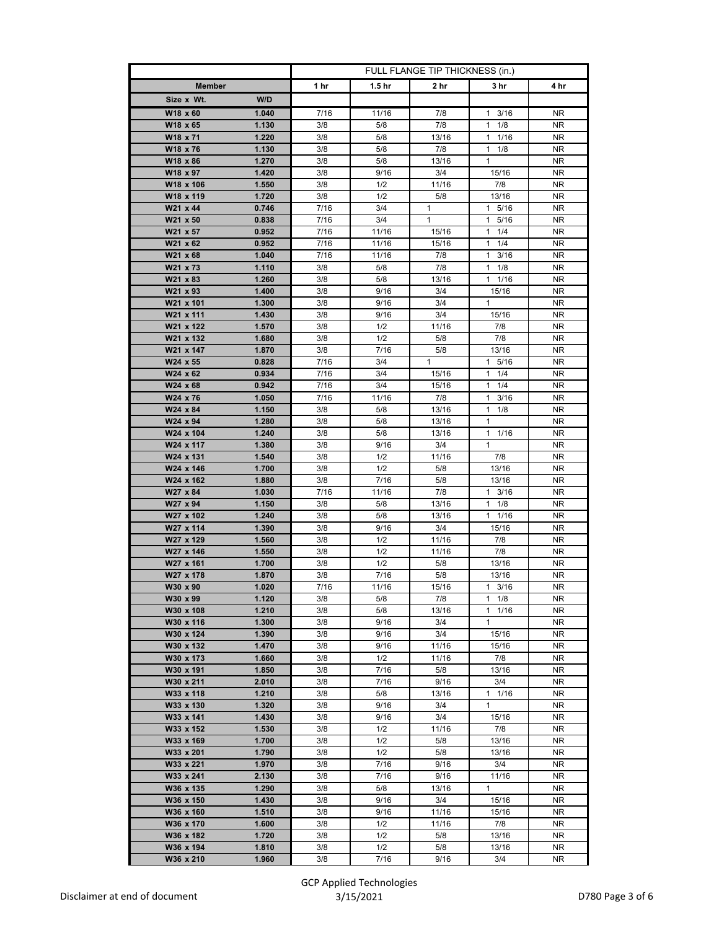|                        |                | FULL FLANGE TIP THICKNESS (in.) |                   |              |                      |            |
|------------------------|----------------|---------------------------------|-------------------|--------------|----------------------|------------|
| <b>Member</b>          |                | 1 hr                            | 1.5 <sub>hr</sub> | 2 hr         | 3 hr                 | 4 hr       |
| Size x Wt.             | W/D            |                                 |                   |              |                      |            |
| W18 x 60               | 1.040          | 7/16                            | 11/16             | 7/8          | $1 \t3/16$           | NR.        |
| W18 x 65               | 1.130          | 3/8                             | 5/8               | 7/8          | $1 \t1/8$            | NR.        |
| W18 x 71               | 1.220          | 3/8                             | 5/8               | 13/16        | $\mathbf{1}$<br>1/16 | NR.        |
| W18 x 76               | 1.130          | 3/8                             | 5/8               | 7/8          | $1 \t1/8$            | NR.        |
| W18 x 86               | 1.270          | 3/8                             | 5/8               | 13/16        | $\mathbf{1}$         | <b>NR</b>  |
| W18 x 97               | 1.420          | 3/8                             | 9/16              | 3/4          | 15/16                | NR.        |
| W18 x 106              | 1.550          | 3/8                             | 1/2               | 11/16        | 7/8                  | NR.        |
| W18 x 119              | 1.720          | 3/8                             | 1/2               | 5/8          | 13/16                | <b>NR</b>  |
| W21 x 44               | 0.746          | 7/16                            | 3/4               | $\mathbf{1}$ | 1 5/16               | NR.        |
| W21 x 50               | 0.838          | 7/16                            | 3/4               | $\mathbf{1}$ | 1 5/16               | NR.        |
| W21 x 57               | 0.952          | 7/16                            | 11/16             | 15/16        | $\mathbf{1}$<br>1/4  | NR.        |
| W21 x 62               | 0.952          | 7/16                            | 11/16             | 15/16        | $1 \t1/4$            | NR.        |
| W21 x 68               | 1.040          | 7/16                            | 11/16             | 7/8          | $1 \t3/16$           | NR         |
| W21 x 73               | 1.110          | 3/8                             | 5/8               | 7/8          | 1/8<br>1             | NR.        |
| W21 x 83               | 1.260          | 3/8                             | 5/8               | 13/16        | $1 \t1/16$           | NR.        |
| W21 x 93               | 1.400          | 3/8                             | 9/16              | 3/4          | 15/16                | <b>NR</b>  |
| W21 x 101              | 1.300          | 3/8                             | 9/16              | 3/4          | 1                    | NR.        |
| W21 x 111              | 1.430          | 3/8                             | 9/16              | 3/4          | 15/16                | NR.        |
| W21 x 122              | 1.570          | 3/8                             | 1/2               | 11/16        | 7/8                  | NR.        |
| W21 x 132              | 1.680          | 3/8                             | 1/2               | 5/8          | 7/8                  | NR.        |
| W21 x 147              | 1.870          | 3/8                             | 7/16              | 5/8          | 13/16                | <b>NR</b>  |
| W24 x 55<br>W24 x 62   | 0.828<br>0.934 | 7/16<br>7/16                    | 3/4<br>3/4        | 1<br>15/16   | 1 5/16<br>$1 \t1/4$  | NR.<br>NR. |
| W24 x 68               | 0.942          | 7/16                            | 3/4               | 15/16        | $1 \t1/4$            | NR.        |
| W24 x 76               | 1.050          | 7/16                            | 11/16             | 7/8          | $\mathbf{1}$<br>3/16 | ΝR         |
| W24 x 84               | 1.150          | 3/8                             | 5/8               | 13/16        | 1/8<br>1             | NR.        |
| W24 x 94               | 1.280          | 3/8                             | 5/8               | 13/16        | 1                    | <b>NR</b>  |
| W24 x 104              | 1.240          | 3/8                             | 5/8               | 13/16        | $\mathbf{1}$<br>1/16 | ΝR         |
| W24 x 117              | 1.380          | 3/8                             | 9/16              | 3/4          | $\mathbf{1}$         | NR.        |
| W24 x 131              | 1.540          | 3/8                             | 1/2               | 11/16        | 7/8                  | NR.        |
| W24 x 146              | 1.700          | 3/8                             | 1/2               | 5/8          | 13/16                | NR         |
| W24 x 162              | 1.880          | 3/8                             | 7/16              | 5/8          | 13/16                | NR.        |
| W27 x 84               | 1.030          | 7/16                            | 11/16             | 7/8          | $1 \t3/16$           | <b>NR</b>  |
| W27 x 94               | 1.150          | 3/8                             | 5/8               | 13/16        | $1 \t1/8$            | NR.        |
| W27 x 102              | 1.240          | 3/8                             | 5/8               | 13/16        | 1 1/16               | NR         |
| W27 x 114              | 1.390          | 3/8                             | 9/16              | 3/4          | 15/16                | NR.        |
| W27 x 129              | 1.560          | 3/8                             | 1/2               | 11/16        | 7/8                  | NR.        |
| W27 x 146              | 1.550          | 3/8                             | 1/2               | 11/16        | 7/8                  | NR.        |
| W27 x 161              | 1.700          | 3/8                             | 1/2               | 5/8          | 13/16                | NR.        |
| W27 x 178              | 1.870          | 3/8                             | 7/16              | 5/8          | 13/16                | NR.        |
| W30 x 90               | 1.020          | 7/16                            | 11/16             | 15/16        | $1 \t3/16$           | NR         |
| W30 x 99               | 1.120          | 3/8                             | 5/8               | 7/8          | $1 \t1/8$<br>11/16   | NR.        |
| W30 x 108<br>W30 x 116 | 1.210<br>1.300 | 3/8<br>3/8                      | 5/8<br>9/16       | 13/16<br>3/4 | $\mathbf{1}$         | NR.<br>NR. |
| W30 x 124              | 1.390          | 3/8                             | 9/16              | 3/4          | 15/16                | NR.        |
| W30 x 132              | 1.470          | 3/8                             | 9/16              | 11/16        | 15/16                | NR.        |
| W30 x 173              | 1.660          | 3/8                             | 1/2               | 11/16        | 7/8                  | NR.        |
| W30 x 191              | 1.850          | 3/8                             | 7/16              | 5/8          | 13/16                | NR.        |
| W30 x 211              | 2.010          | 3/8                             | 7/16              | 9/16         | 3/4                  | NR.        |
| W33 x 118              | 1.210          | 3/8                             | 5/8               | 13/16        | $1 \t1/16$           | ΝR         |
| W33 x 130              | 1.320          | 3/8                             | 9/16              | 3/4          | 1                    | NR.        |
| W33 x 141              | 1.430          | 3/8                             | 9/16              | 3/4          | 15/16                | NR.        |
| W33 x 152              | 1.530          | 3/8                             | 1/2               | 11/16        | 7/8                  | NR.        |
| W33 x 169              | 1.700          | 3/8                             | 1/2               | 5/8          | 13/16                | NR.        |
| W33 x 201              | 1.790          | 3/8                             | 1/2               | 5/8          | 13/16                | <b>NR</b>  |
| W33 x 221              | 1.970          | 3/8                             | 7/16              | 9/16         | 3/4                  | NR         |
| W33 x 241              | 2.130          | 3/8                             | 7/16              | 9/16         | 11/16                | NR         |
| W36 x 135              | 1.290          | 3/8                             | 5/8               | 13/16        | $\mathbf{1}$         | NR.        |
| W36 x 150              | 1.430          | 3/8                             | 9/16              | 3/4          | 15/16                | NR.        |
| W36 x 160              | 1.510          | 3/8                             | 9/16              | 11/16        | 15/16                | NR         |
| W36 x 170              | 1.600          | 3/8                             | 1/2<br>1/2        | 11/16        | 7/8                  | NR.        |
| W36 x 182<br>W36 x 194 | 1.720          | 3/8                             | 1/2               | 5/8          | 13/16                | NR.        |
| W36 x 210              | 1.810<br>1.960 | 3/8<br>3/8                      | 7/16              | 5/8<br>9/16  | 13/16<br>3/4         | NR.<br>NR  |
|                        |                |                                 |                   |              |                      |            |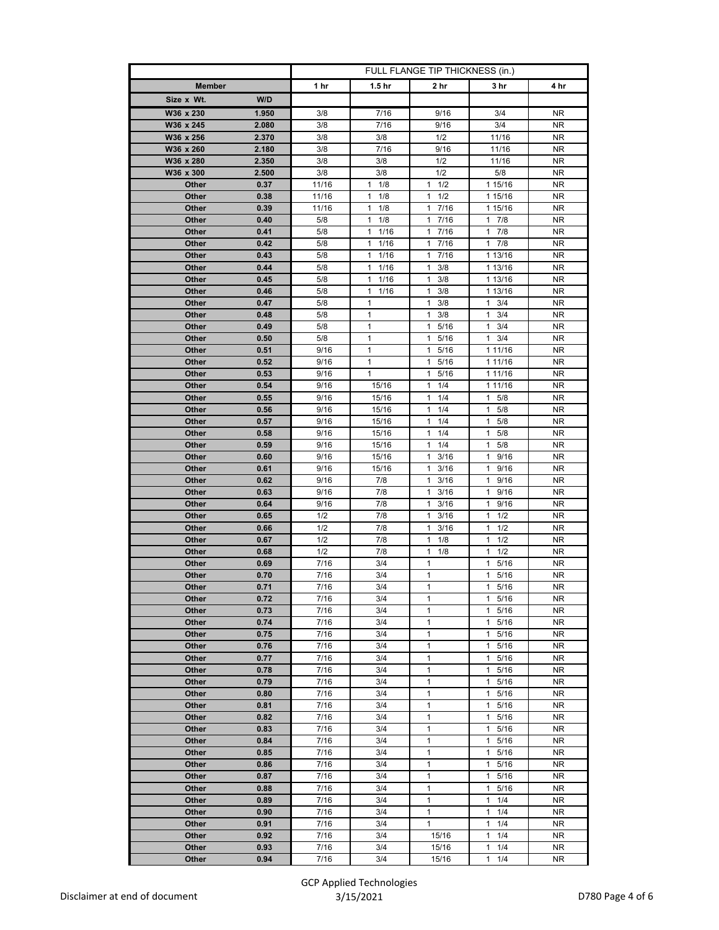|                                | FULL FLANGE TIP THICKNESS (in.) |                        |                              |                                 |            |
|--------------------------------|---------------------------------|------------------------|------------------------------|---------------------------------|------------|
| <b>Member</b>                  | 1 hr                            | 1.5 <sub>hr</sub>      | 2 hr                         | 3 hr                            | 4 hr       |
| W/D<br>Size x Wt.              |                                 |                        |                              |                                 |            |
| W36 x 230<br>1.950             | 3/8                             | 7/16                   | 9/16                         | 3/4                             | NR.        |
| W36 x 245<br>2.080             | 3/8                             | 7/16                   | 9/16                         | 3/4                             | <b>NR</b>  |
| W36 x 256<br>2.370             | 3/8                             | 3/8                    | 1/2                          | 11/16                           | NR.        |
| W36 x 260<br>2.180             | 3/8                             | 7/16                   | 9/16                         | 11/16                           | NR.        |
| W36 x 280<br>2.350             | 3/8                             | 3/8                    | 1/2                          | 11/16                           | <b>NR</b>  |
| W36 x 300<br>2.500             | 3/8                             | 3/8                    | 1/2                          | 5/8                             | NR         |
| Other<br>0.37                  | 11/16                           | 1<br>1/8               | 1/2<br>1                     | 1 15/16                         | NR.        |
| 0.38<br>Other                  | 11/16                           | 1/8<br>1               | 1/2<br>1                     | 1 15/16                         | <b>NR</b>  |
| Other<br>0.39                  | 11/16                           | 1<br>1/8               | 17/16                        | 1 15/16                         | NR.        |
| Other<br>0.40                  | 5/8                             | 1<br>1/8               | 7/16<br>$\mathbf{1}$         | $1 \t7/8$                       | NR         |
| 0.41<br>Other                  | 5/8                             | $\mathbf{1}$<br>1/16   | 7/16<br>$\mathbf{1}$         | $\mathbf{1}$<br>7/8             | <b>NR</b>  |
| 0.42<br>Other                  | 5/8                             | 1/16<br>1              | 7/16<br>1                    | 17/8                            | NR.        |
| Other<br>0.43<br>0.44          | 5/8<br>5/8                      | 1<br>1/16<br>1<br>1/16 | 17/16<br>3/8<br>1            | 1 13/16                         | NR.        |
| Other<br>0.45<br>Other         | 5/8                             | 1/16<br>1              | 3/8<br>1                     | 1 13/16<br>1 13/16              | NR.<br>NR. |
| Other<br>0.46                  | 5/8                             | 1/16<br>1              | $\mathbf{1}$<br>3/8          | 1 13/16                         | <b>NR</b>  |
| Other<br>0.47                  | 5/8                             | 1                      | 3/8<br>1                     | 3/4<br>$\mathbf{1}$             | NR.        |
| 0.48<br>Other                  | 5/8                             | $\mathbf{1}$           | 1<br>3/8                     | $\mathbf{1}$<br>3/4             | NR.        |
| Other<br>0.49                  | 5/8                             | 1                      | 1<br>5/16                    | $\mathbf{1}$<br>3/4             | <b>NR</b>  |
| 0.50<br>Other                  | 5/8                             | 1                      | 1 5/16                       | $1 \t3/4$                       | NR.        |
| 0.51<br>Other                  | 9/16                            | 1                      | 5/16<br>$\mathbf{1}$         | 1 11/16                         | <b>NR</b>  |
| 0.52<br>Other                  | 9/16                            | $\mathbf{1}$           | 1<br>5/16                    | 1 11/16                         | NR.        |
| Other<br>0.53                  | 9/16                            | $\mathbf{1}$           | 5/16<br>$\mathbf{1}$         | 1 11/16                         | NR.        |
| 0.54<br>Other                  | 9/16                            | 15/16                  | 1/4<br>1                     | 1 11/16                         | <b>NR</b>  |
| Other<br>0.55                  | 9/16                            | 15/16                  | 1/4<br>1                     | 1<br>5/8                        | NR         |
| 0.56<br>Other                  | 9/16                            | 15/16                  | 1/4<br>1                     | 5/8<br>1                        | NR.        |
| Other<br>0.57                  | 9/16                            | 15/16                  | 1/4<br>1                     | 5/8<br>1                        | <b>NR</b>  |
| Other<br>0.58                  | 9/16                            | 15/16                  | 1<br>1/4                     | 1<br>5/8                        | NR.        |
| 0.59<br><b>Other</b>           | 9/16                            | 15/16                  | 1/4<br>1                     | 5/8<br>1                        | NR.        |
| Other<br>0.60                  | 9/16                            | 15/16                  | 3/16<br>1                    | 9/16<br>1                       | NR.        |
| Other<br>0.61                  | 9/16                            | 15/16                  | 3/16<br>$\mathbf{1}$         | 9/16<br>$\mathbf{1}$            | ΝR         |
| Other<br>0.62                  | 9/16                            | 7/8                    | 1<br>3/16                    | $\mathbf{1}$<br>9/16            | NR         |
| 0.63<br>Other                  | 9/16                            | 7/8                    | 3/16<br>1                    | 9/16<br>1                       | <b>NR</b>  |
| Other<br>0.64                  | 9/16                            | 7/8<br>7/8             | $1 \t3/16$<br>3/16           | 1 9/16                          | NR.        |
| Other<br>0.65<br>0.66<br>Other | 1/2<br>1/2                      | 7/8                    | $\mathbf{1}$<br>1<br>3/16    | 1/2<br>1<br>$\mathbf{1}$<br>1/2 | NR.<br>NR. |
| 0.67<br>Other                  | 1/2                             | 7/8                    | 1/8<br>$\mathbf{1}$          | 1/2<br>1                        | NR.        |
| Other<br>0.68                  | 1/2                             | 7/8                    | $1 \t1/8$                    | 1/2<br>$\mathbf{1}$             | NR.        |
| 0.69<br>Other                  | 7/16                            | 3/4                    | 1                            | 1<br>5/16                       | NR.        |
| 0.70<br>Other                  | 7/16                            | 3/4                    | 1                            | 5/16<br>1                       | NR.        |
| 0.71<br>Other                  | 7/16                            | 3/4                    | $\mathbf{1}$                 | 1 5/16                          | ΝR         |
| Other<br>0.72                  | 7/16                            | 3/4                    | 1                            | 5/16<br>$\mathbf{1}$            | ΝR         |
| 0.73<br>Other                  | 7/16                            | 3/4                    | $\mathbf{1}$                 | 5/16<br>$\mathbf{1}$            | NR.        |
| 0.74<br>Other                  | 7/16                            | 3/4                    | $\mathbf{1}$                 | 5/16<br>$\mathbf{1}$            | NR.        |
| 0.75<br>Other                  | 7/16                            | 3/4                    | $\mathbf{1}$                 | 5/16<br>$\mathbf{1}$            | NR.        |
| 0.76<br>Other                  | 7/16                            | 3/4                    | $\mathbf{1}$                 | 5/16<br>1                       | NR.        |
| 0.77<br>Other                  | 7/16                            | 3/4                    | $\mathbf{1}$                 | 1<br>5/16                       | NR.        |
| 0.78<br>Other                  | 7/16                            | 3/4                    | $\mathbf{1}$                 | 5/16<br>$\mathbf{1}$            | NR.        |
| Other<br>0.79                  | 7/16                            | 3/4                    | $\mathbf{1}$                 | 1<br>5/16                       | <b>NR</b>  |
| 0.80<br>Other                  | 7/16                            | 3/4                    | $\mathbf{1}$                 | $\mathbf{1}$<br>5/16            | ΝR         |
| 0.81<br>Other                  | 7/16                            | 3/4                    | 1                            | 5/16<br>1                       | NR.        |
| Other<br>0.82                  | 7/16                            | 3/4                    | $\mathbf{1}$<br>$\mathbf{1}$ | 5/16<br>1                       | NR.        |
| 0.83<br>Other<br>0.84<br>Other | 7/16<br>7/16                    | 3/4<br>3/4             | $\mathbf{1}$                 | 1<br>5/16<br>1<br>5/16          | NR.<br>NR  |
| 0.85<br>Other                  | 7/16                            | 3/4                    | $\mathbf{1}$                 | 5/16<br>1                       | NR.        |
| 0.86<br>Other                  | 7/16                            | 3/4                    | $\mathbf{1}$                 | 1<br>5/16                       | NR.        |
| 0.87<br>Other                  | 7/16                            | 3/4                    | $\mathbf{1}$                 | 5/16<br>1                       | NR.        |
| 0.88<br>Other                  | 7/16                            | 3/4                    | $\mathbf{1}$                 | 5/16<br>1                       | <b>NR</b>  |
| 0.89<br>Other                  | 7/16                            | 3/4                    | $\mathbf{1}$                 | 1/4<br>$\mathbf{1}$             | NR.        |
| 0.90<br>Other                  | 7/16                            | 3/4                    | 1                            | 1/4<br>1                        | NR.        |
| 0.91<br>Other                  | 7/16                            | 3/4                    | $\mathbf{1}$                 | $\mathbf{1}$<br>1/4             | NR.        |
| 0.92<br>Other                  | 7/16                            | 3/4                    | 15/16                        | 1/4<br>1                        | NR.        |
| 0.93<br>Other                  | 7/16                            | 3/4                    | 15/16                        | 1/4<br>1                        | NR.        |
| 0.94<br>Other                  | 7/16                            | 3/4                    | 15/16                        | 1<br>1/4                        | NR         |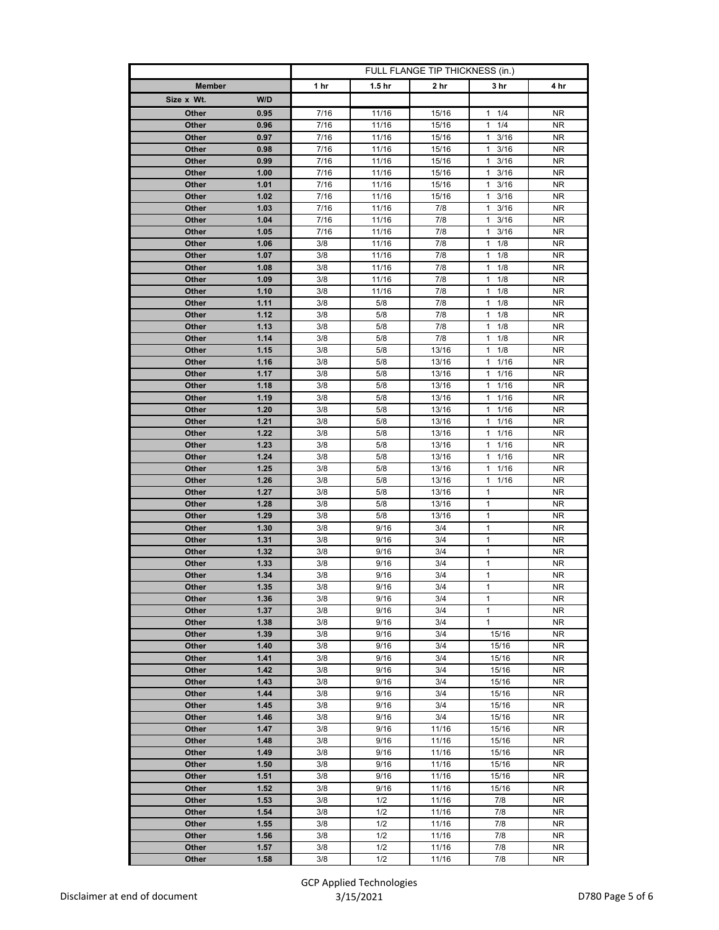|                |              | FULL FLANGE TIP THICKNESS (in.) |                   |                |                                            |                        |
|----------------|--------------|---------------------------------|-------------------|----------------|--------------------------------------------|------------------------|
| <b>Member</b>  |              | 1 hr                            | 1.5 <sub>hr</sub> | 2 hr           | 3 hr                                       | 4 hr                   |
| Size x Wt.     | W/D          |                                 |                   |                |                                            |                        |
| Other          | 0.95         | 7/16                            | 11/16             | 15/16          | $1 \t1/4$                                  | NR.                    |
| <b>Other</b>   | 0.96         | 7/16                            | 11/16             | 15/16          | 1/4<br>$\mathbf{1}$                        | <b>NR</b>              |
| Other          | 0.97         | 7/16                            | 11/16             | 15/16          | 3/16<br>$\mathbf{1}$                       | NR.                    |
| Other          | 0.98         | 7/16                            | 11/16             | 15/16          | 3/16<br>1                                  | NR                     |
| Other          | 0.99         | 7/16                            | 11/16             | 15/16          | $\mathbf{1}$<br>3/16                       | NR.                    |
| Other          | 1.00         | 7/16                            | 11/16             | 15/16          | 3/16<br>1                                  | NR.                    |
| Other          | 1.01         | 7/16                            | 11/16             | 15/16          | $1 \t3/16$                                 | NR.                    |
| Other          | 1.02         | 7/16                            | 11/16             | 15/16          | 1<br>3/16                                  | NR.                    |
| Other          | 1.03         | 7/16                            | 11/16             | 7/8            | 3/16<br>$\mathbf{1}$                       | NR.                    |
| Other          | 1.04         | 7/16                            | 11/16             | 7/8            | 3/16<br>1                                  | NR                     |
| Other          | 1.05         | 7/16                            | 11/16             | 7/8            | 1<br>3/16                                  | NR.                    |
| Other          | 1.06<br>1.07 | 3/8<br>3/8                      | 11/16<br>11/16    | 7/8<br>7/8     | $\mathbf{1}$<br>1/8<br>$\mathbf{1}$<br>1/8 | NR.<br>NR.             |
| Other<br>Other | 1.08         | 3/8                             | 11/16             | 7/8            | 1/8<br>1                                   | NR.                    |
| Other          | 1.09         | 3/8                             | 11/16             | 7/8            | $\mathbf{1}$<br>1/8                        | NR.                    |
| Other          | 1.10         | 3/8                             | 11/16             | 7/8            | 1/8<br>1                                   | <b>NR</b>              |
| Other          | 1.11         | 3/8                             | 5/8               | 7/8            | 1/8<br>$\mathbf{1}$                        | NR.                    |
| Other          | 1.12         | 3/8                             | 5/8               | 7/8            | 1/8<br>1                                   | <b>NR</b>              |
| Other          | 1.13         | 3/8                             | 5/8               | 7/8            | $\mathbf{1}$<br>1/8                        | NR.                    |
| Other          | 1.14         | 3/8                             | 5/8               | 7/8            | 1/8<br>1                                   | NR.                    |
| Other          | 1.15         | 3/8                             | 5/8               | 13/16          | 1/8<br>1                                   | <b>NR</b>              |
| Other          | 1.16         | 3/8                             | 5/8               | 13/16          | 1<br>1/16                                  | ΝR                     |
| Other          | 1.17         | 3/8                             | 5/8               | 13/16          | 1/16<br>1                                  | NR                     |
| Other          | 1.18         | 3/8                             | 5/8               | 13/16          | $1 \t1/16$                                 | NR.                    |
| Other          | 1.19         | 3/8                             | 5/8               | 13/16          | 1/16<br>1                                  | ΝR                     |
| Other          | 1.20         | 3/8                             | 5/8               | 13/16          | 1/16<br>1                                  | NR                     |
| Other          | 1.21         | 3/8                             | 5/8               | 13/16          | 1/16<br>$\mathbf{1}$                       | NR.                    |
| Other          | 1.22         | 3/8                             | 5/8               | 13/16          | $1 \t1/16$                                 | NR                     |
| Other          | 1.23<br>1.24 | 3/8<br>3/8                      | 5/8<br>5/8        | 13/16          | $1 \t1/16$<br>$\mathbf{1}$<br>1/16         | NR<br>NR.              |
| Other<br>Other | 1.25         | 3/8                             | 5/8               | 13/16<br>13/16 | $1 \t1/16$                                 | NR.                    |
| Other          | 1.26         | 3/8                             | 5/8               | 13/16          | $1 \t1/16$                                 | NR                     |
| Other          | 1.27         | 3/8                             | 5/8               | 13/16          | $\mathbf{1}$                               | NR.                    |
| Other          | 1.28         | 3/8                             | 5/8               | 13/16          | $\mathbf{1}$                               | NR.                    |
| Other          | 1.29         | 3/8                             | 5/8               | 13/16          | 1                                          | NR.                    |
| Other          | 1.30         | 3/8                             | 9/16              | 3/4            | $\mathbf{1}$                               | NR.                    |
| Other          | 1.31         | 3/8                             | 9/16              | 3/4            | $\mathbf{1}$                               | NR.                    |
| Other          | 1.32         | 3/8                             | 9/16              | 3/4            | $\mathbf{1}$                               | NR.                    |
| Other          | 1.33         | 3/8                             | 9/16              | 3/4            | 1                                          | NR.                    |
| Other          | 1.34         | 3/8                             | 9/16              | 3/4            | $\mathbf{1}$                               | NR.                    |
| Other          | 1.35         | 3/8                             | 9/16              | 3/4            | 1                                          | NR                     |
| Other          | 1.36         | 3/8                             | 9/16              | 3/4            | 1                                          | NR.                    |
| Other<br>Other | 1.37<br>1.38 | 3/8<br>3/8                      | 9/16<br>9/16      | 3/4<br>3/4     | $\mathbf{1}$<br>$\mathbf{1}$               | <b>NR</b><br><b>NR</b> |
| Other          | 1.39         | 3/8                             | 9/16              | 3/4            | 15/16                                      | NR.                    |
| Other          | 1.40         | 3/8                             | 9/16              | 3/4            | 15/16                                      | NR.                    |
| Other          | 1.41         | 3/8                             | 9/16              | 3/4            | 15/16                                      | NR                     |
| Other          | 1.42         | 3/8                             | 9/16              | 3/4            | 15/16                                      | NR.                    |
| Other          | 1.43         | 3/8                             | 9/16              | 3/4            | 15/16                                      | <b>NR</b>              |
| Other          | 1.44         | 3/8                             | 9/16              | 3/4            | 15/16                                      | NR.                    |
| Other          | 1.45         | 3/8                             | 9/16              | 3/4            | 15/16                                      | NR.                    |
| Other          | 1.46         | 3/8                             | 9/16              | 3/4            | 15/16                                      | <b>NR</b>              |
| Other          | 1.47         | 3/8                             | 9/16              | 11/16          | 15/16                                      | NR.                    |
| Other          | 1.48         | 3/8                             | 9/16              | 11/16          | 15/16                                      | NR.                    |
| Other          | 1.49         | 3/8                             | 9/16              | 11/16          | 15/16                                      | NR.                    |
| Other          | 1.50         | 3/8                             | 9/16              | 11/16          | 15/16                                      | NR.                    |
| Other          | 1.51         | 3/8                             | 9/16              | 11/16          | 15/16                                      | NR.                    |
| Other          | 1.52<br>1.53 | 3/8                             | 9/16<br>1/2       | 11/16          | 15/16                                      | NR.<br>NR.             |
| Other<br>Other | 1.54         | 3/8<br>3/8                      | 1/2               | 11/16<br>11/16 | 7/8<br>7/8                                 | NR.                    |
| Other          | 1.55         | 3/8                             | 1/2               | 11/16          | 7/8                                        | NR                     |
| Other          | 1.56         | 3/8                             | 1/2               | 11/16          | 7/8                                        | <b>NR</b>              |
| Other          | 1.57         | 3/8                             | 1/2               | 11/16          | 7/8                                        | NR.                    |
| Other          | 1.58         | 3/8                             | 1/2               | 11/16          | 7/8                                        | NR                     |